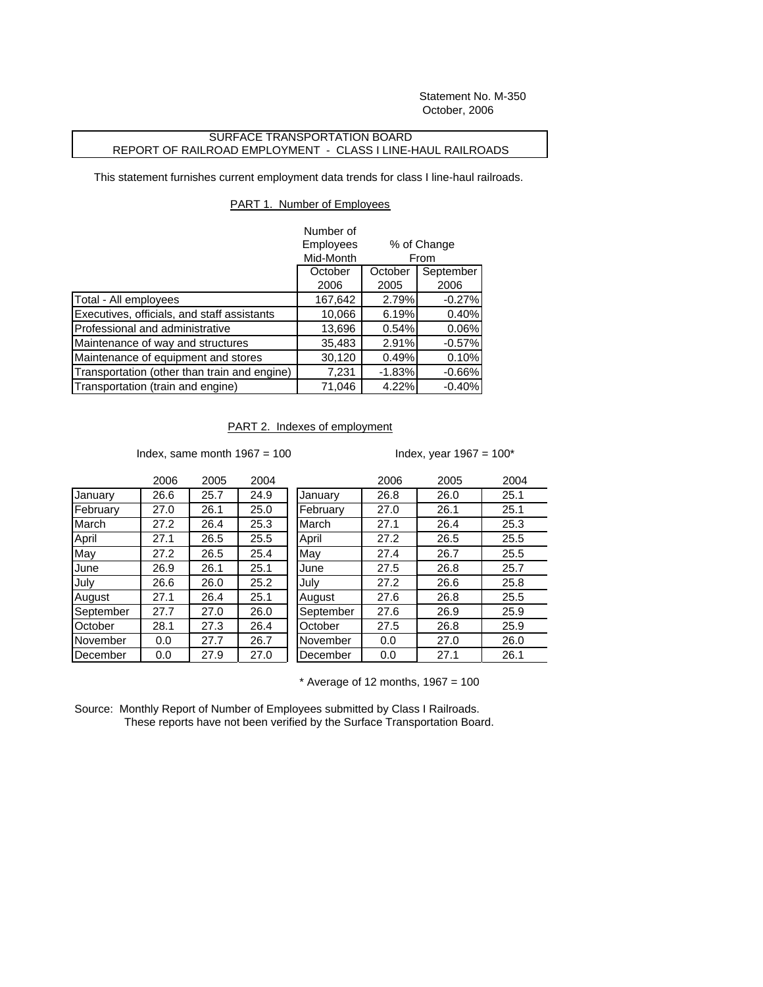Statement No. M-350 October, 2006

## SURFACE TRANSPORTATION BOARD REPORT OF RAILROAD EMPLOYMENT - CLASS I LINE-HAUL RAILROADS

This statement furnishes current employment data trends for class I line-haul railroads.

## PART 1. Number of Employees

|                                              | Number of |                                             |          |
|----------------------------------------------|-----------|---------------------------------------------|----------|
|                                              | Employees | % of Change<br>From<br>September<br>October |          |
|                                              | Mid-Month |                                             |          |
|                                              | October   |                                             |          |
|                                              | 2006      | 2005                                        | 2006     |
| Total - All employees                        | 167,642   | 2.79%                                       | $-0.27%$ |
| Executives, officials, and staff assistants  | 10,066    | 6.19%                                       | 0.40%    |
| Professional and administrative              | 13,696    | 0.54%                                       | 0.06%    |
| Maintenance of way and structures            | 35,483    | 2.91%                                       | $-0.57%$ |
| Maintenance of equipment and stores          | 30,120    | 0.49%                                       | 0.10%    |
| Transportation (other than train and engine) | 7,231     | $-1.83%$                                    | $-0.66%$ |
| Transportation (train and engine)            | 71,046    | 4.22%                                       | $-0.40%$ |

## PART 2. Indexes of employment

Index, same month  $1967 = 100$  Index, year  $1967 = 100$ \*

|           | 2006 | 2005 | 2004 |
|-----------|------|------|------|
| January   | 26.6 | 25.7 | 24.9 |
| February  | 27.0 | 26.1 | 25.0 |
| March     | 27.2 | 26.4 | 25.3 |
| April     | 27.1 | 26.5 | 25.5 |
| Mav       | 27.2 | 26.5 | 25.4 |
| June      | 26.9 | 26.1 | 25.1 |
| July      | 26.6 | 26.0 | 25.2 |
| August    | 27.1 | 26.4 | 25.1 |
| September | 27.7 | 27.0 | 26.0 |
| October   | 28.1 | 27.3 | 26.4 |
| November  | 0.0  | 27.7 | 26.7 |
| December  | 0.0  | 27.9 | 27.0 |

| 2006 | 2005 | 2004 |             | 2006 | 2005 | 2004 |
|------|------|------|-------------|------|------|------|
| 26.6 | 25.7 | 24.9 | January     | 26.8 | 26.0 | 25.1 |
| 27.0 | 26.1 | 25.0 | February    | 27.0 | 26.1 | 25.1 |
| 27.2 | 26.4 | 25.3 | March       | 27.1 | 26.4 | 25.3 |
| 27.1 | 26.5 | 25.5 | April       | 27.2 | 26.5 | 25.5 |
| 27.2 | 26.5 | 25.4 | May         | 27.4 | 26.7 | 25.5 |
| 26.9 | 26.1 | 25.1 | <b>June</b> | 27.5 | 26.8 | 25.7 |
| 26.6 | 26.0 | 25.2 | July        | 27.2 | 26.6 | 25.8 |
| 27.1 | 26.4 | 25.1 | August      | 27.6 | 26.8 | 25.5 |
| 27.7 | 27.0 | 26.0 | September   | 27.6 | 26.9 | 25.9 |
| 28.1 | 27.3 | 26.4 | October     | 27.5 | 26.8 | 25.9 |
| 0.0  | 27.7 | 26.7 | November    | 0.0  | 27.0 | 26.0 |
| 0.0  | 27.9 | 27.0 | December    | 0.0  | 27.1 | 26.1 |
|      |      |      |             |      |      |      |

 $*$  Average of 12 months, 1967 = 100

Source: Monthly Report of Number of Employees submitted by Class I Railroads. These reports have not been verified by the Surface Transportation Board.